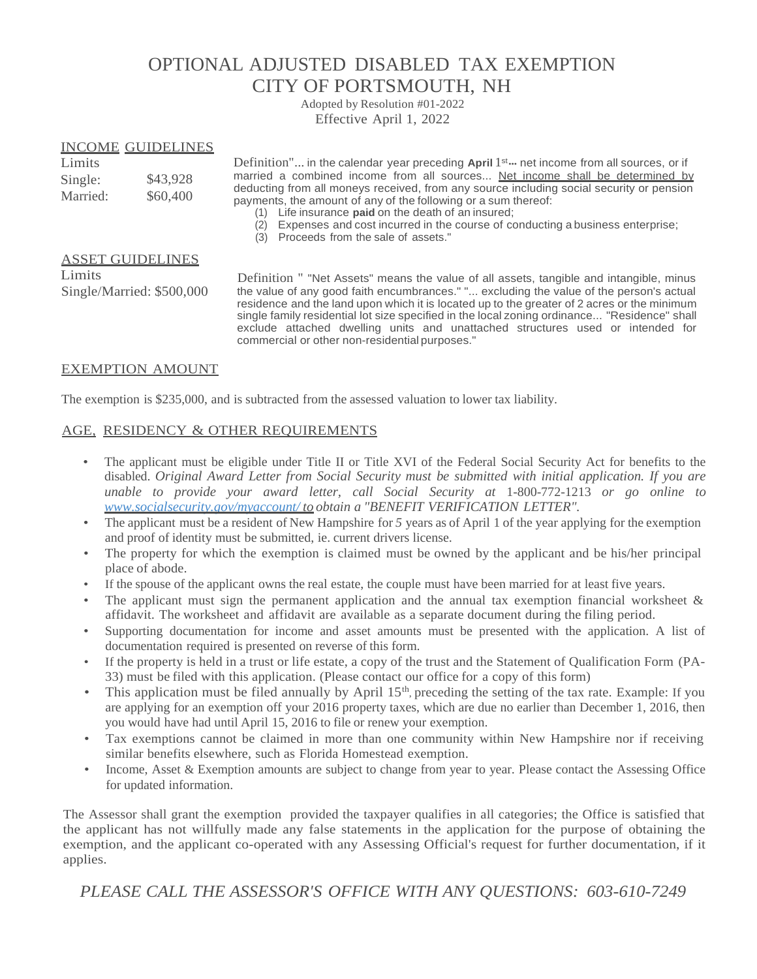## OPTIONAL ADJUSTED DISABLED TAX EXEMPTION CITY OF PORTSMOUTH, NH

Adopted by Resolution #01-2022 Effective April 1, 2022

#### INCOME GUIDELINES

| Limits   |          |
|----------|----------|
| Single:  | \$43,928 |
| Married: | \$60,400 |

Limits **Example 2** Definition"... in the calendar year preceding April 1<sup>st</sup> ··· net income from all sources, or if married a combined income from all sources... Net income shall be determined by deducting from all moneys received, from any source including social security or pension payments, the amount of any of the following or a sum thereof:

- (1) Life insurance **paid** on the death of an insured;
- (2) Expenses and cost incurred in the course of conducting a business enterprise;
- (3) Proceeds from the sale of assets."

#### ASSET GUIDELINES

**Limits** Single/Married: \$500,000

Definition " "Net Assets" means the value of all assets, tangible and intangible, minus the value of any good faith encumbrances." "... excluding the value of the person's actual residence and the land upon which it is located up to the greater of 2 acres or the minimum single family residential lot size specified in the local zoning ordinance... "Residence" shall exclude attached dwelling units and unattached structures used or intended for commercial or other non-residential purposes."

#### EXEMPTION AMOUNT

The exemption is \$235,000, and is subtracted from the assessed valuation to lower tax liability.

#### AGE, RESIDENCY & OTHER REQUIREMENTS

- The applicant must be eligible under Title II or Title XVI of the Federal Social Security Act for benefits to the disabled. *Original Award Letter from Social Security must be submitted with initial application. If you are unable to provide your award letter, call Social Security at* 1-800-772-1213 *or go online to [www.socialsecurity.gov/myaccount/](http://www.socialsecurity.gov/myaccount/to) to obtain a "BENEFIT VERIFICATION LETTER".*
- The applicant must be a resident of New Hampshire for 5 years as of April 1 of the year applying for the exemption and proof of identity must be submitted, ie. current drivers license.
- The property for which the exemption is claimed must be owned by the applicant and be his/her principal place of abode.
- If the spouse of the applicant owns the real estate, the couple must have been married for at least five years.
- The applicant must sign the permanent application and the annual tax exemption financial worksheet & affidavit. The worksheet and affidavit are available as a separate document during the filing period.
- Supporting documentation for income and asset amounts must be presented with the application. A list of documentation required is presented on reverse of this form.
- If the property is held in a trust or life estate, a copy of the trust and the Statement of Qualification Form (PA-33) must be filed with this application. (Please contact our office for a copy of this form)
- This application must be filed annually by April 15<sup>th</sup>, preceding the setting of the tax rate. Example: If you are applying for an exemption off your 2016 property taxes, which are due no earlier than December 1, 2016, then you would have had until April 15, 2016 to file or renew your exemption.
- Tax exemptions cannot be claimed in more than one community within New Hampshire nor if receiving similar benefits elsewhere, such as Florida Homestead exemption.
- Income, Asset & Exemption amounts are subject to change from year to year. Please contact the Assessing Office for updated information.

The Assessor shall grant the exemption provided the taxpayer qualifies in all categories; the Office is satisfied that the applicant has not willfully made any false statements in the application for the purpose of obtaining the exemption, and the applicant co-operated with any Assessing Official's request for further documentation, if it applies.

*PLEASE CALL THE ASSESSOR'S OFFICE WITH ANY QUESTIONS: 603-610-7249*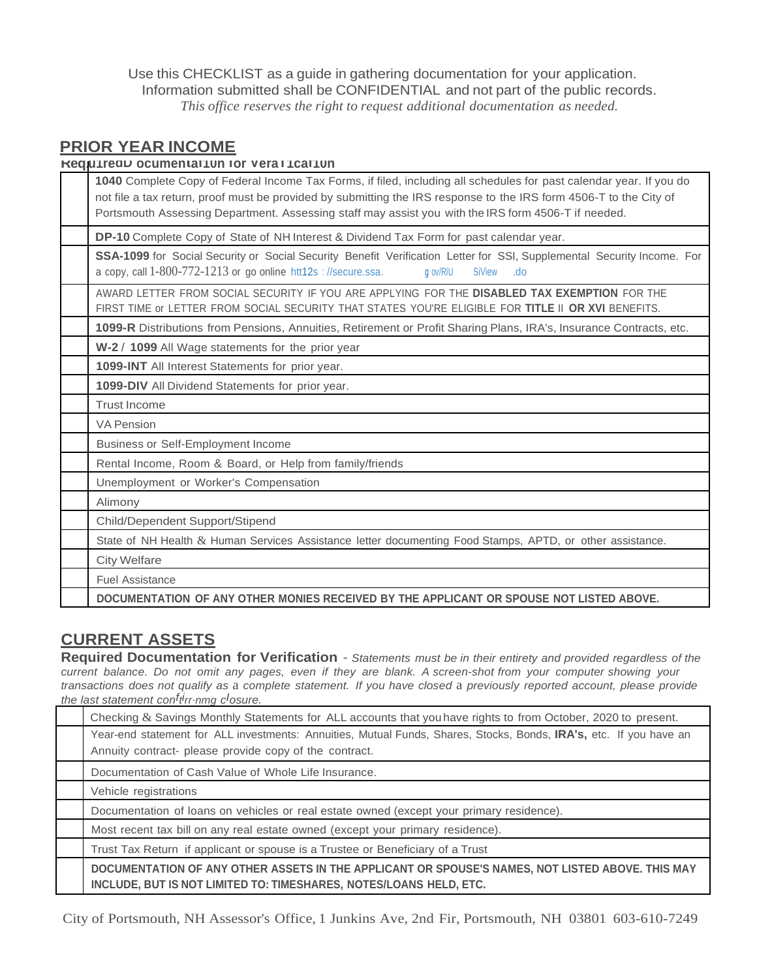Use this CHECKLIST as a guide in gathering documentation for your application. Information submitted shall be CONFIDENTIAL and not part of the public records. *This office reserves the right to request additional documentation as needed.*

### **PRIOR YEAR INCOME**

| Requireau ocumentariun for verallicariun |
|------------------------------------------|
|------------------------------------------|

| 1040 Complete Copy of Federal Income Tax Forms, if filed, including all schedules for past calendar year. If you do<br>not file a tax return, proof must be provided by submitting the IRS response to the IRS form 4506-T to the City of<br>Portsmouth Assessing Department. Assessing staff may assist you with the IRS form 4506-T if needed. |
|--------------------------------------------------------------------------------------------------------------------------------------------------------------------------------------------------------------------------------------------------------------------------------------------------------------------------------------------------|
| DP-10 Complete Copy of State of NH Interest & Dividend Tax Form for past calendar year.                                                                                                                                                                                                                                                          |
| SSA-1099 for Social Security or Social Security Benefit Verification Letter for SSI, Supplemental Security Income. For<br>a copy, call $1-800-772-1213$ or go online htt12s : //secure.ssa.<br><b>SiView</b><br>g ov/RIU<br>.do                                                                                                                  |
| AWARD LETTER FROM SOCIAL SECURITY IF YOU ARE APPLYING FOR THE DISABLED TAX EXEMPTION FOR THE<br>FIRST TIME or LETTER FROM SOCIAL SECURITY THAT STATES YOU'RE ELIGIBLE FOR TITLE II OR XVI BENEFITS.                                                                                                                                              |
| 1099-R Distributions from Pensions, Annuities, Retirement or Profit Sharing Plans, IRA's, Insurance Contracts, etc.                                                                                                                                                                                                                              |
| W-2 / 1099 All Wage statements for the prior year                                                                                                                                                                                                                                                                                                |
| 1099-INT All Interest Statements for prior year.                                                                                                                                                                                                                                                                                                 |
| 1099-DIV All Dividend Statements for prior year.                                                                                                                                                                                                                                                                                                 |
| <b>Trust Income</b>                                                                                                                                                                                                                                                                                                                              |
| <b>VA Pension</b>                                                                                                                                                                                                                                                                                                                                |
| Business or Self-Employment Income                                                                                                                                                                                                                                                                                                               |
| Rental Income, Room & Board, or Help from family/friends                                                                                                                                                                                                                                                                                         |
| Unemployment or Worker's Compensation                                                                                                                                                                                                                                                                                                            |
| Alimony                                                                                                                                                                                                                                                                                                                                          |
| Child/Dependent Support/Stipend                                                                                                                                                                                                                                                                                                                  |
| State of NH Health & Human Services Assistance letter documenting Food Stamps, APTD, or other assistance.                                                                                                                                                                                                                                        |
| <b>City Welfare</b>                                                                                                                                                                                                                                                                                                                              |
| <b>Fuel Assistance</b>                                                                                                                                                                                                                                                                                                                           |
| DOCUMENTATION OF ANY OTHER MONIES RECEIVED BY THE APPLICANT OR SPOUSE NOT LISTED ABOVE.                                                                                                                                                                                                                                                          |

### **CURRENT ASSETS**

**Required Documentation for Verification** - *Statements must be in their entirety and provided regardless of the* current balance. Do not omit any pages, even if they are blank. A screen-shot from your computer showing your transactions does not qualify as a complete statement. If you have closed a previously reported account, please provide *the last statement conf t irr*.*nmg cIosure.*

| Checking & Savings Monthly Statements for ALL accounts that you have rights to from October, 2020 to present.                                                                |  |
|------------------------------------------------------------------------------------------------------------------------------------------------------------------------------|--|
| Year-end statement for ALL investments: Annuities, Mutual Funds, Shares, Stocks, Bonds, IRA's, etc. If you have an<br>Annuity contract- please provide copy of the contract. |  |
| Documentation of Cash Value of Whole Life Insurance.                                                                                                                         |  |
| Vehicle registrations                                                                                                                                                        |  |
| Documentation of loans on vehicles or real estate owned (except your primary residence).                                                                                     |  |
| Most recent tax bill on any real estate owned (except your primary residence).                                                                                               |  |
| Trust Tax Return if applicant or spouse is a Trustee or Beneficiary of a Trust                                                                                               |  |
| DOCUMENTATION OF ANY OTHER ASSETS IN THE APPLICANT OR SPOUSE'S NAMES, NOT LISTED ABOVE. THIS MAY<br>INCLUDE, BUT IS NOT LIMITED TO: TIMESHARES, NOTES/LOANS HELD, ETC.       |  |

City of Portsmouth, NH Assessor's Office, 1 Junkins Ave, 2nd Fir, Portsmouth, NH 03801 603-610-7249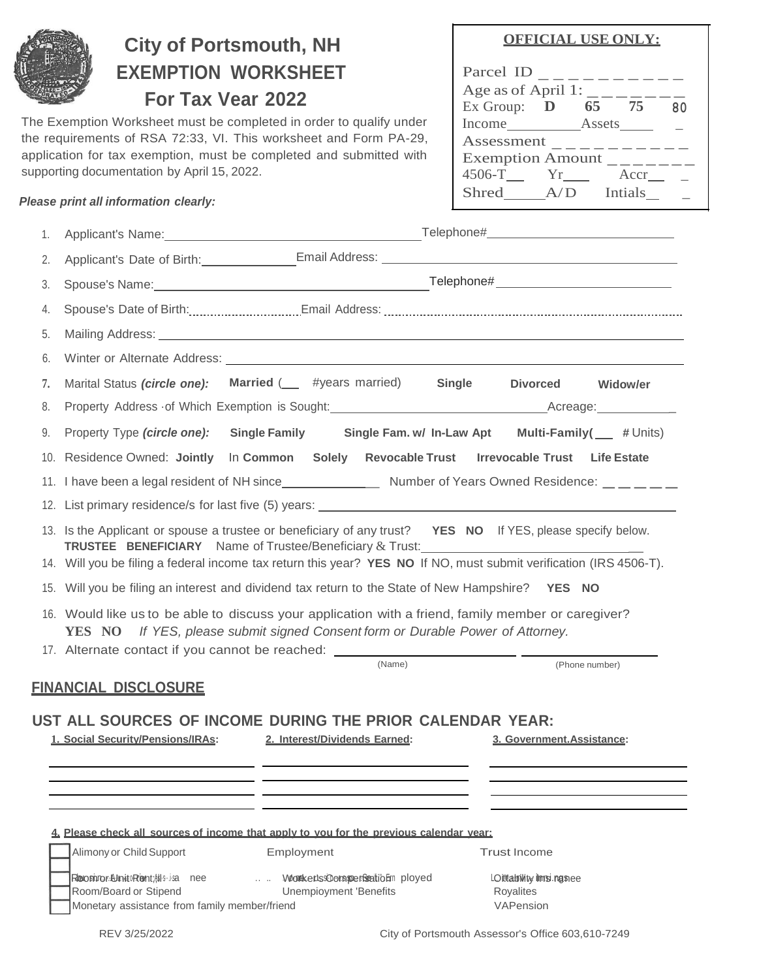

# **City of Portsmouth, NH EXEMPTION WORKSHEET For Tax Vear 2022**

The Exemption Worksheet must be completed in order to qualify under the requirements of RSA 72:33, VI. This worksheet and Form PA-29, application for tax exemption, must be completed and submitted with supporting documentation by April 15, 2022.

#### *Please print all information clearly:*

### **OFFICIAL USE ONLY:**

| Parcel ID               |  |       |    |
|-------------------------|--|-------|----|
| Age as of April 1:      |  |       |    |
| Ex Group: $\mathbf D$   |  | 65 75 | 80 |
| Income Assets           |  |       |    |
| Assessment              |  |       |    |
| <b>Exemption Amount</b> |  |       |    |
| $4506 - T$ $Yr$         |  | Accr  |    |
| Shred A/D Intials       |  |       |    |
|                         |  |       |    |

| 1. |                                                                                                                                                                                                             |                                                                                       | Applicant's Name: <u>contract and a set of the set of the set of the set of the set of the set of the set of the set of the set of the set of the set of the set of the set of the set of the set of the set of the set of the s</u> |  |
|----|-------------------------------------------------------------------------------------------------------------------------------------------------------------------------------------------------------------|---------------------------------------------------------------------------------------|--------------------------------------------------------------------------------------------------------------------------------------------------------------------------------------------------------------------------------------|--|
| 2. |                                                                                                                                                                                                             |                                                                                       |                                                                                                                                                                                                                                      |  |
| 3. |                                                                                                                                                                                                             |                                                                                       |                                                                                                                                                                                                                                      |  |
| 4. |                                                                                                                                                                                                             |                                                                                       |                                                                                                                                                                                                                                      |  |
| 5. |                                                                                                                                                                                                             |                                                                                       |                                                                                                                                                                                                                                      |  |
| 6. |                                                                                                                                                                                                             |                                                                                       |                                                                                                                                                                                                                                      |  |
| 7. | Marital Status (circle one): Married ( <i>ull #years married</i> ) Single                                                                                                                                   |                                                                                       | Divorced Widow/er                                                                                                                                                                                                                    |  |
| 8. |                                                                                                                                                                                                             |                                                                                       |                                                                                                                                                                                                                                      |  |
| 9. | Property Type (circle one):                                                                                                                                                                                 |                                                                                       | Single Family Single Fam. w/ In-Law Apt Multi-Family( Family 4 Units)                                                                                                                                                                |  |
|    |                                                                                                                                                                                                             |                                                                                       | 10. Residence Owned: Jointly In Common Solely Revocable Trust Irrevocable Trust Life Estate                                                                                                                                          |  |
|    |                                                                                                                                                                                                             |                                                                                       |                                                                                                                                                                                                                                      |  |
|    |                                                                                                                                                                                                             |                                                                                       |                                                                                                                                                                                                                                      |  |
|    | 13. Is the Applicant or spouse a trustee or beneficiary of any trust? YES NO If YES, please specify below.<br>TRUSTEE BENEFICIARY Name of Trustee/Beneficiary & Trust: Name of Trustee/Beneficiary & Trust: |                                                                                       |                                                                                                                                                                                                                                      |  |
|    | 14. Will you be filing a federal income tax return this year? YES NO If NO, must submit verification (IRS 4506-T).                                                                                          |                                                                                       |                                                                                                                                                                                                                                      |  |
|    | 15. Will you be filing an interest and dividend tax return to the State of New Hampshire? YES NO                                                                                                            |                                                                                       |                                                                                                                                                                                                                                      |  |
|    | 16. Would like us to be able to discuss your application with a friend, family member or caregiver?                                                                                                         | <b>YES</b> NO If YES, please submit signed Consent form or Durable Power of Attorney. |                                                                                                                                                                                                                                      |  |
|    | 17. Alternate contact if you cannot be reached: ________________________________                                                                                                                            | (Name)                                                                                | (Phone number)                                                                                                                                                                                                                       |  |
|    |                                                                                                                                                                                                             |                                                                                       |                                                                                                                                                                                                                                      |  |
|    |                                                                                                                                                                                                             |                                                                                       |                                                                                                                                                                                                                                      |  |
|    | <u>FINANCIAL DISCLOSURE</u>                                                                                                                                                                                 |                                                                                       |                                                                                                                                                                                                                                      |  |
|    | UST ALL SOURCES OF INCOME DURING THE PRIOR CALENDAR YEAR:                                                                                                                                                   |                                                                                       |                                                                                                                                                                                                                                      |  |
|    | 1. Social Security/Pensions/IRAs:                                                                                                                                                                           | 2. Interest/Dividends Earned:                                                         | 3. Government.Assistance:                                                                                                                                                                                                            |  |
|    |                                                                                                                                                                                                             |                                                                                       |                                                                                                                                                                                                                                      |  |
|    |                                                                                                                                                                                                             |                                                                                       |                                                                                                                                                                                                                                      |  |
|    |                                                                                                                                                                                                             |                                                                                       |                                                                                                                                                                                                                                      |  |
|    | 4. Please check all sources of income that apply to you for the previous calendar year:<br>Alimony or Child Support                                                                                         | Employment                                                                            | <b>Trust Income</b>                                                                                                                                                                                                                  |  |